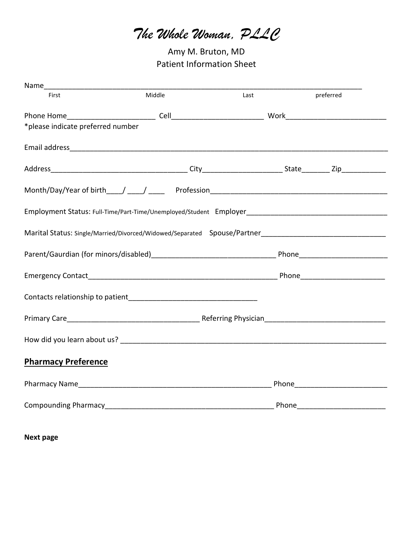*The Whole Woman, PLLC*

Amy M. Bruton, MD Patient Information Sheet

| First                             | Middle | Last | preferred |
|-----------------------------------|--------|------|-----------|
|                                   |        |      |           |
| *please indicate preferred number |        |      |           |
|                                   |        |      |           |
|                                   |        |      |           |
|                                   |        |      |           |
|                                   |        |      |           |
|                                   |        |      |           |
|                                   |        |      |           |
|                                   |        |      |           |
|                                   |        |      |           |
|                                   |        |      |           |
|                                   |        |      |           |
| <b>Pharmacy Preference</b>        |        |      |           |
|                                   |        |      |           |
|                                   |        |      |           |

**Next page**